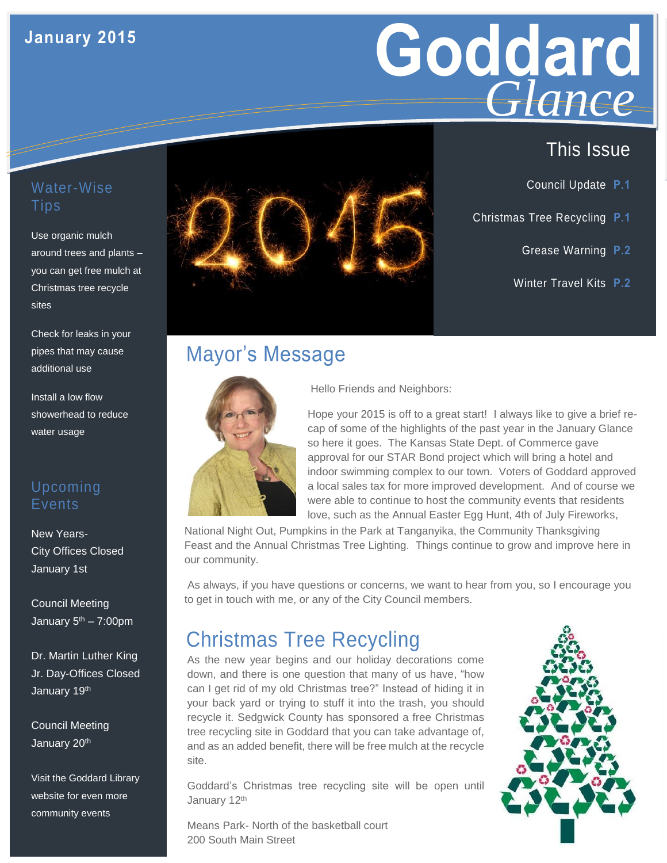## **January 2015**



- Council Update **P.1**
- Christmas Tree Recycling **P.1**
	- Grease Warning **P.2**
	- Winter Travel Kits **P.2**

#### Water-Wise **Tips**

around trees and plants -Use organic mulch you can get free mulch at Christmas tree recycle sites

Check for leaks in your pipes that may cause additional use

Install a low flow showerhead to reduce water usage

### Upcoming **Events**

New Years-City Offices Closed January 1st

Council Meeting January 5<sup>th</sup> – 7:00pm

Dr. Martin Luther King Jr. Day-Offices Closed January 19th

Council Meeting January 20<sup>th</sup>

Visit the Goddard Library website for even more community events



## Mayor's Message



Hello Friends and Neighbors:

Hope your 2015 is off to a great start! I always like to give a brief recap of some of the highlights of the past year in the January Glance so here it goes. The Kansas State Dept. of Commerce gave approval for our STAR Bond project which will bring a hotel and indoor swimming complex to our town. Voters of Goddard approved a local sales tax for more improved development. And of course we were able to continue to host the community events that residents love, such as the Annual Easter Egg Hunt, 4th of July Fireworks,

National Night Out, Pumpkins in the Park at Tanganyika, the Community Thanksgiving Feast and the Annual Christmas Tree Lighting. Things continue to grow and improve here in our community.

As always, if you have questions or concerns, we want to hear from you, so I encourage you to get in touch with me, or any of the City Council members.

## Christmas Tree Recycling

As the new year begins and our holiday decorations come down, and there is one question that many of us have, "how can I get rid of my old Christmas tree?" Instead of hiding it in your back yard or trying to stuff it into the trash, you should recycle it. Sedgwick County has sponsored a free Christmas tree recycling site in Goddard that you can take advantage of, and as an added benefit, there will be free mulch at the recycle site.

Goddard's Christmas tree recycling site will be open until January 12<sup>th</sup>

Means Park- North of the basketball court 200 South Main Street